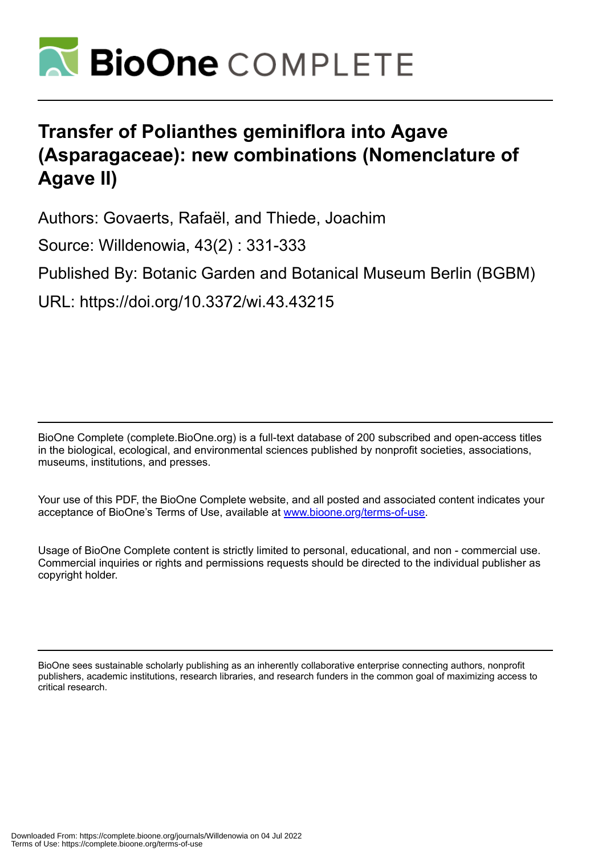

# **Transfer of Polianthes geminiflora into Agave (Asparagaceae): new combinations (Nomenclature of Agave II)**

Authors: Govaerts, Rafaël, and Thiede, Joachim

Source: Willdenowia, 43(2) : 331-333

Published By: Botanic Garden and Botanical Museum Berlin (BGBM)

URL: https://doi.org/10.3372/wi.43.43215

BioOne Complete (complete.BioOne.org) is a full-text database of 200 subscribed and open-access titles in the biological, ecological, and environmental sciences published by nonprofit societies, associations, museums, institutions, and presses.

Your use of this PDF, the BioOne Complete website, and all posted and associated content indicates your acceptance of BioOne's Terms of Use, available at www.bioone.org/terms-of-use.

Usage of BioOne Complete content is strictly limited to personal, educational, and non - commercial use. Commercial inquiries or rights and permissions requests should be directed to the individual publisher as copyright holder.

BioOne sees sustainable scholarly publishing as an inherently collaborative enterprise connecting authors, nonprofit publishers, academic institutions, research libraries, and research funders in the common goal of maximizing access to critical research.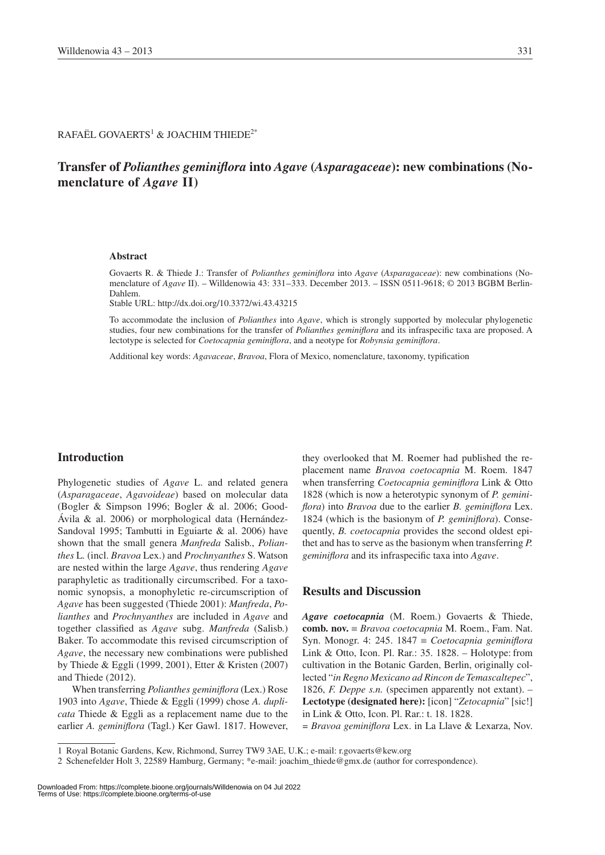$\mathsf{RAFA}\ddot{\mathsf{E}}\mathsf{L}$  GOVAERTS $^1$  & JOACHIM THIEDE $^{2^*}$ 

## **Transfer of** *Polianthes geminiflora* **into** *Agave* **(***Asparagaceae***): new combinations (Nomenclature of** *Agave* **II)**

#### **Abstract**

Govaerts R. & Thiede J.: Transfer of *Polianthes geminiflora* into *Agave* (*Asparagaceae*): new combinations (Nomenclature of *Agave* II). – Willdenowia 43: 331–333. December 2013. – ISSN 0511-9618; © 2013 BGBM Berlin-Dahlem.

Stable URL: http://dx.doi.org/10.3372/wi.43.43215

To accommodate the inclusion of *Polianthes* into *Agave*, which is strongly supported by molecular phylogenetic studies, four new combinations for the transfer of *Polianthes geminiflora* and its infraspecific taxa are proposed. A lectotype is selected for *Coetocapnia geminiflora*, and a neotype for *Robynsia geminiflora*.

Additional key words: *Agavaceae*, *Bravoa*, Flora of Mexico, nomenclature, taxonomy, typification

#### **Introduction**

Phylogenetic studies of *Agave* L. and related genera (*Asparagaceae*, *Agavoideae*) based on molecular data (Bogler & Simpson 1996; Bogler & al. 2006; Good-Ávila & al. 2006) or morphological data (Hernández-Sandoval 1995; Tambutti in Eguiarte & al. 2006) have shown that the small genera *Manfreda* Salisb., *Polianthes* L*.* (incl. *Bravoa* Lex.) and *Prochnyanthes* S. Watson are nested within the large *Agave*, thus rendering *Agave* paraphyletic as traditionally circumscribed. For a taxonomic synopsis, a monophyletic re-circumscription of *Agave* has been suggested (Thiede 2001): *Manfreda*, *Polianthes* and *Prochnyanthes* are included in *Agave* and together classified as *Agave* subg. *Manfreda* (Salisb.) Baker. To accommodate this revised circumscription of *Agave*, the necessary new combinations were published by Thiede & Eggli (1999, 2001), Etter & Kristen (2007) and Thiede (2012).

When transferring *Polianthes geminiflora* (Lex.) Rose 1903 into *Agave*, Thiede & Eggli (1999) chose *A. duplicata* Thiede & Eggli as a replacement name due to the earlier *A. geminiflora* (Tagl.) Ker Gawl. 1817. However,

they overlooked that M. Roemer had published the replacement name *Bravoa coetocapnia* M. Roem. 1847 when transferring *Coetocapnia geminiflora* Link & Otto 1828 (which is now a heterotypic synonym of *P. geminiflora*) into *Bravoa* due to the earlier *B. geminiflora* Lex. 1824 (which is the basionym of *P. geminiflora*). Consequently, *B. coetocapnia* provides the second oldest epithet and has to serve as the basionym when transferring *P. geminiflora* and its infraspecific taxa into *Agave*.

### **Results and Discussion**

*Agave coetocapnia* (M. Roem.) Govaerts & Thiede, **comb. nov.** ≡ *Bravoa coetocapnia* M. Roem., Fam. Nat. Syn. Monogr. 4: 245. 1847 ≡ *Coetocapnia geminiflora* Link & Otto, Icon. Pl. Rar.: 35. 1828. – Holotype: from cultivation in the Botanic Garden, Berlin, originally collected "*in Regno Mexicano ad Rincon de Temascaltepec*", 1826, *F. Deppe s.n.* (specimen apparently not extant). – **Lectotype (designated here):** [icon] "*Zetocapnia*" [sic!] in Link & Otto, Icon. Pl. Rar.: t. 18. 1828.

= *Bravoa geminiflora* Lex. in La Llave & Lexarza, Nov.

<sup>1</sup> Royal Botanic Gardens, Kew, Richmond, Surrey TW9 3AE, U.K.; e-mail: r.govaerts@kew.org

<sup>2</sup> Schenefelder Holt 3, 22589 Hamburg, Germany; \*e-mail: joachim\_thiede@gmx.de (author for correspondence).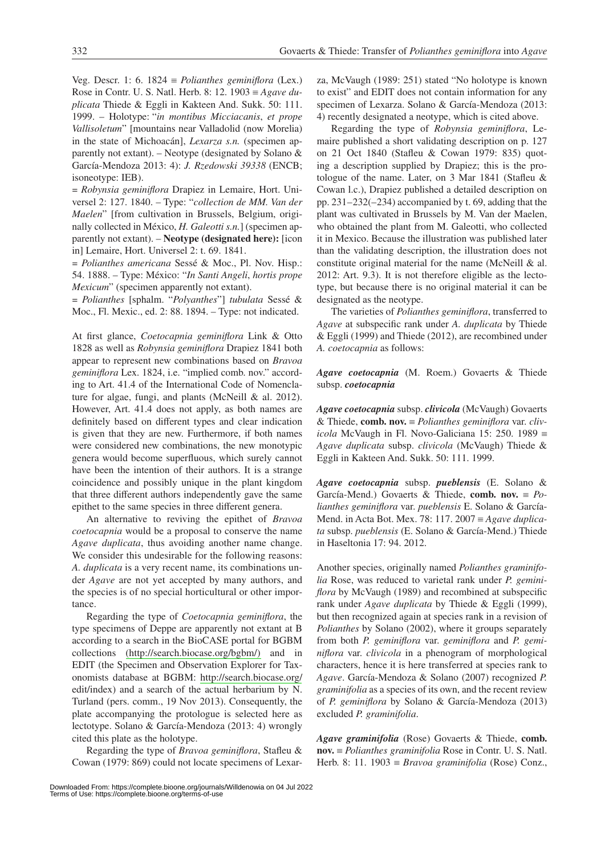Veg. Descr. 1: 6. 1824 ≡ *Polianthes geminiflora* (Lex.) Rose in Contr. U. S. Natl. Herb. 8: 12. 1903 ≡ *Agave duplicata* Thiede & Eggli in Kakteen And. Sukk. 50: 111. 1999. – Holotype: "*in montibus Micciacanis*, *et prope Vallisoletum*" [mountains near Valladolid (now Morelia) in the state of Michoacán], *Lexarza s.n.* (specimen apparently not extant). – Neotype (designated by Solano  $\&$ García-Mendoza 2013: 4): *J. Rzedowski 39338* (ENCB; isoneotype: IEB).

= *Robynsia geminiflora* Drapiez in Lemaire, Hort. Universel 2: 127. 1840. – Type: "*collection de MM. Van der Maelen*" [from cultivation in Brussels, Belgium, originally collected in México, *H. Galeotti s.n.*] (specimen apparently not extant). – **Neotype (designated here):** [icon in] Lemaire, Hort. Universel 2: t. 69. 1841.

*= Polianthes americana* Sessé & Moc., Pl. Nov. Hisp.: 54. 1888. – Type: México: "*In Santi Angeli*, *hortis prope Mexicum*" (specimen apparently not extant).

*= Polianthes* [sphalm. "*Polyanthes*"] *tubulata* Sessé & Moc., Fl. Mexic., ed. 2: 88. 1894. – Type: not indicated.

At first glance, *Coetocapnia geminiflora* Link & Otto 1828 as well as *Robynsia geminiflora* Drapiez 1841 both appear to represent new combinations based on *Bravoa geminiflora* Lex. 1824, i.e. "implied comb. nov." according to Art. 41.4 of the International Code of Nomenclature for algae, fungi, and plants (McNeill & al. 2012). However, Art. 41.4 does not apply, as both names are definitely based on different types and clear indication is given that they are new. Furthermore, if both names were considered new combinations, the new monotypic genera would become superfluous, which surely cannot have been the intention of their authors. It is a strange coincidence and possibly unique in the plant kingdom that three different authors independently gave the same epithet to the same species in three different genera.

An alternative to reviving the epithet of *Bravoa coetocapnia* would be a proposal to conserve the name *Agave duplicata*, thus avoiding another name change. We consider this undesirable for the following reasons: *A. duplicata* is a very recent name, its combinations under *Agave* are not yet accepted by many authors, and the species is of no special horticultural or other importance.

Regarding the type of *Coetocapnia geminiflora*, the type specimens of Deppe are apparently not extant at B according to a search in the BioCASE portal for BGBM collections [\(http://search.biocase.org/bgbm/\)](http://search.biocase.org/bgbm/) and in EDIT (the Specimen and Observation Explorer for Taxonomists database at BGBM: <http://search.biocase.org/> edit/index) and a search of the actual herbarium by N. Turland (pers. comm., 19 Nov 2013). Consequently, the plate accompanying the protologue is selected here as lectotype. Solano & García-Mendoza (2013: 4) wrongly cited this plate as the holotype.

Regarding the type of *Bravoa geminiflora*, Stafleu & Cowan (1979: 869) could not locate specimens of Lexarza, McVaugh (1989: 251) stated "No holotype is known to exist" and EDIT does not contain information for any specimen of Lexarza. Solano & García-Mendoza (2013: 4) recently designated a neotype, which is cited above.

Regarding the type of *Robynsia geminiflora*, Lemaire published a short validating description on p. 127 on 21 Oct 1840 (Stafleu & Cowan 1979: 835) quoting a description supplied by Drapiez; this is the protologue of the name. Later, on 3 Mar 1841 (Stafleu & Cowan l.c.), Drapiez published a detailed description on pp. 231–232(–234) accompanied by t. 69, adding that the plant was cultivated in Brussels by M. Van der Maelen, who obtained the plant from M. Galeotti, who collected it in Mexico. Because the illustration was published later than the validating description, the illustration does not constitute original material for the name (McNeill & al. 2012: Art. 9.3). It is not therefore eligible as the lectotype, but because there is no original material it can be designated as the neotype.

The varieties of *Polianthes geminiflora*, transferred to *Agave* at subspecific rank under *A. duplicata* by Thiede & Eggli (1999) and Thiede (2012), are recombined under *A. coetocapnia* as follows:

*Agave coetocapnia* (M. Roem.) Govaerts & Thiede subsp. *coetocapnia*

*Agave coetocapnia* subsp. *clivicola* (McVaugh) Govaerts & Thiede, **comb. nov.** ≡ *Polianthes geminiflora* var. *clivicola* McVaugh in Fl. Novo-Galiciana 15: 250. 1989 ≡ *Agave duplicata* subsp. *clivicola* (McVaugh) Thiede & Eggli in Kakteen And. Sukk. 50: 111. 1999.

*Agave coetocapnia* subsp. *pueblensis* (E. Solano & García-Mend.) Govaerts & Thiede, **comb. nov.** ≡ *Polianthes geminiflora* var. *pueblensis* E. Solano & García-Mend. in Acta Bot. Mex. 78: 117. 2007 ≡ *Agave duplicata* subsp. *pueblensis* (E. Solano & García-Mend.) Thiede in Haseltonia 17: 94. 2012.

Another species, originally named *Polianthes graminifolia* Rose, was reduced to varietal rank under *P. geminiflora* by McVaugh (1989) and recombined at subspecific rank under *Agave duplicata* by Thiede & Eggli (1999), but then recognized again at species rank in a revision of *Polianthes* by Solano (2002), where it groups separately from both *P. geminiflora* var. *geminiflora* and *P. geminiflora* var. *clivicola* in a phenogram of morphological characters, hence it is here transferred at species rank to *Agave*. García-Mendoza & Solano (2007) recognized *P. graminifolia* as a species of its own, and the recent review of *P. geminiflora* by Solano & García-Mendoza (2013) excluded *P. graminifolia*.

*Agave graminifolia* (Rose) Govaerts & Thiede, **comb. nov.** ≡ *Polianthes graminifolia* Rose in Contr. U. S. Natl. Herb. 8: 11. 1903 ≡ *Bravoa graminifolia* (Rose) Conz.,